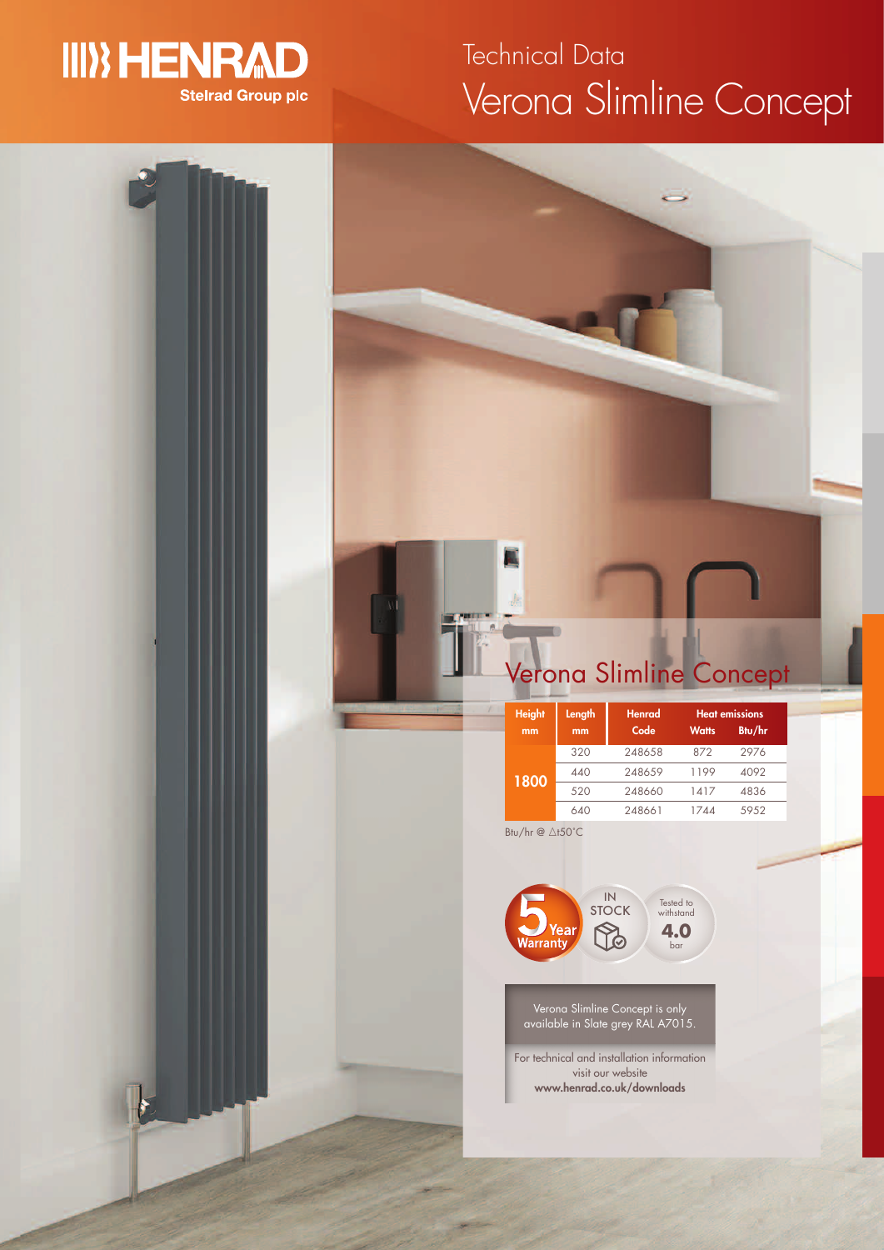

# Verona Slimline Concept Technical Data

# Btu/hr  $@ \triangle$ t50°C **1800**



| <b>Height</b> | Length | <b>Henrad</b> | <b>Heat emissions</b> |        |
|---------------|--------|---------------|-----------------------|--------|
| mm            | mm     | Code          | <b>Watts</b>          | Btu/hr |
| 1800          | 320    | 248658        | 872                   | 2976   |
|               | 440    | 248659        | 1199                  | 4092   |
|               | 520    | 248660        | 1417                  | 4836   |
|               | 640    | 248661        | 1744                  | 5952   |
| $-1$          |        |               |                       |        |



Verona Slimline Concept is only available in Slate grey RAL A7015.

For technical and installation information visit our website **www.henrad.co.uk/downloads**